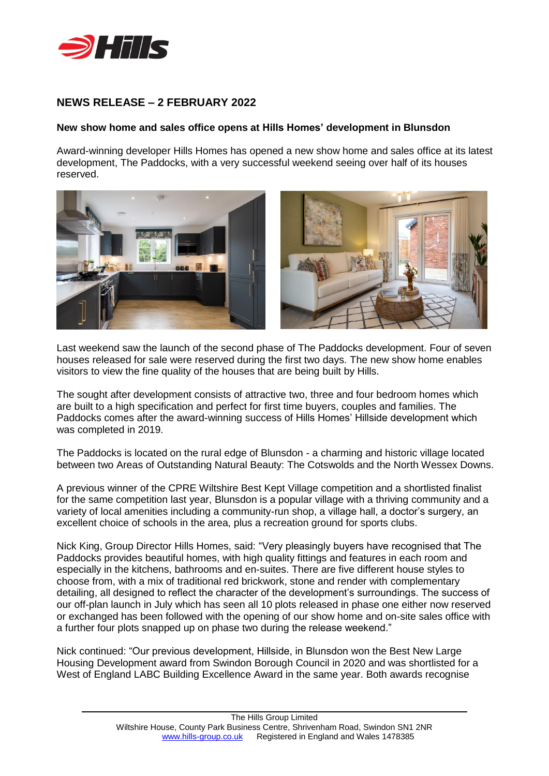

## **NEWS RELEASE – 2 FEBRUARY 2022**

## **New show home and sales office opens at Hills Homes' development in Blunsdon**

Award-winning developer Hills Homes has opened a new show home and sales office at its latest development, The Paddocks, with a very successful weekend seeing over half of its houses reserved.



Last weekend saw the launch of the second phase of The Paddocks development. Four of seven houses released for sale were reserved during the first two days. The new show home enables visitors to view the fine quality of the houses that are being built by Hills.

The sought after development consists of attractive two, three and four bedroom homes which are built to a high specification and perfect for first time buyers, couples and families. The Paddocks comes after the award-winning success of Hills Homes' Hillside development which was completed in 2019.

The Paddocks is located on the rural edge of Blunsdon - a charming and historic village located between two Areas of Outstanding Natural Beauty: The Cotswolds and the North Wessex Downs.

A previous winner of the CPRE Wiltshire Best Kept Village competition and a shortlisted finalist for the same competition last year, Blunsdon is a popular village with a thriving community and a variety of local amenities including a community-run shop, a village hall, a doctor's surgery, an excellent choice of schools in the area, plus a recreation ground for sports clubs.

Nick King, Group Director Hills Homes, said: "Very pleasingly buyers have recognised that The Paddocks provides beautiful homes, with high quality fittings and features in each room and especially in the kitchens, bathrooms and en-suites. There are five different house styles to choose from, with a mix of traditional red brickwork, stone and render with complementary detailing, all designed to reflect the character of the development's surroundings. The success of our off-plan launch in July which has seen all 10 plots released in phase one either now reserved or exchanged has been followed with the opening of our show home and on-site sales office with a further four plots snapped up on phase two during the release weekend."

Nick continued: "Our previous development, Hillside, in Blunsdon won the Best New Large Housing Development award from Swindon Borough Council in 2020 and was shortlisted for a West of England LABC Building Excellence Award in the same year. Both awards recognise